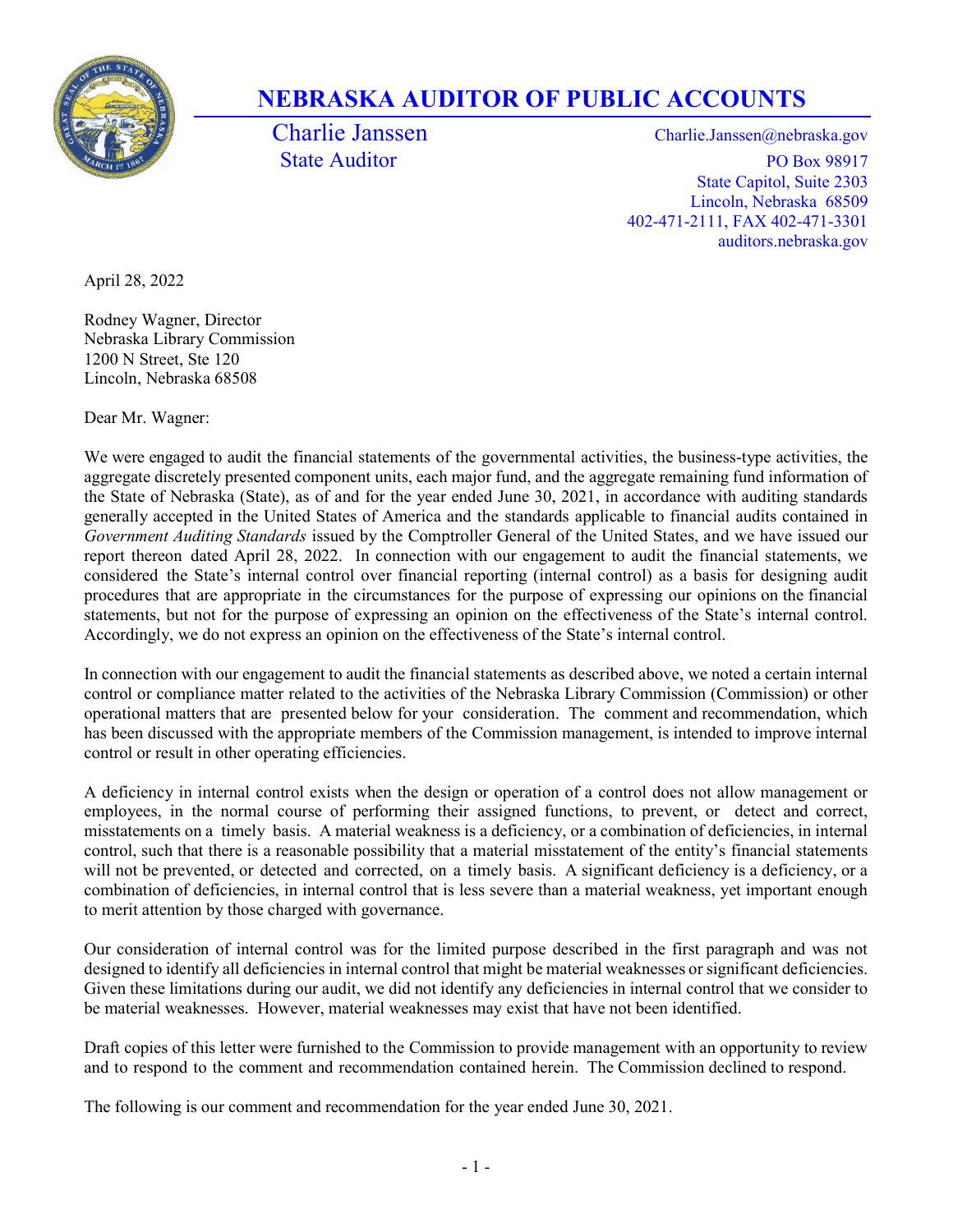

## NEBRASKA AUDITOR OF PUBLIC ACCOUNTS

Charlie Janssen Charlie.Janssen @nebraska.gov State Auditor PO Box 98917 State Capitol, Suite 2303 Lincoln, Nebraska 68509 402-471-2111, FAX 402-471-3301 auditors.nebraska.gov

April 28, 2022

Rodney Wagner, Director Nebraska Library Commission 1200 N Street, Ste 120 Lincoln, Nebraska 68508

Dear Mr. Wagner:

We were engaged to audit the financial statements of the governmental activities, the business-type activities, the aggregate discretely presented component units, each major fund, and the aggregate remaining fund information of the State of Nebraska (State), as of and for the year ended June 30, 2021, in accordance with auditing standards generally accepted in the United States of America and the standards applicable to financial audits contained in Government Auditing Standards issued by the Comptroller General of the United States, and we have issued our report thereon dated April 28, 2022. In connection with our engagement to audit the financial statements, we considered the State's internal control over financial reporting (internal control) as a basis for designing audit procedures that are appropriate in the circumstances for the purpose of expressing our opinions on the financial statements, but not for the purpose of expressing an opinion on the effectiveness of the State's internal control. Accordingly, we do not express an opinion on the effectiveness of the State's internal control.

In connection with our engagement to audit the financial statements as described above, we noted a certain internal control or compliance matter related to the activities of the Nebraska Library Commission (Commission) or other operational matters that are presented below for your consideration. The comment and recommendation, which has been discussed with the appropriate members of the Commission management, is intended to improve internal control or result in other operating efficiencies.

A deficiency in internal control exists when the design or operation of a control does not allow management or employees, in the normal course of performing their assigned functions, to prevent, or detect and correct, misstatements on a timely basis. A material weakness is a deficiency, or a combination of deficiencies, in internal control, such that there is a reasonable possibility that a material misstatement of the entity's financial statements will not be prevented, or detected and corrected, on a timely basis. A significant deficiency is a deficiency, or a combination of deficiencies, in internal control that is less severe than a material weakness, yet important enough to merit attention by those charged with governance.

Our consideration of internal control was for the limited purpose described in the first paragraph and was not designed to identify all deficiencies in internal control that might be material weaknesses or significant deficiencies. Given these limitations during our audit, we did not identify any deficiencies in internal control that we consider to be material weaknesses. However, material weaknesses may exist that have not been identified.

Draft copies of this letter were furnished to the Commission to provide management with an opportunity to review and to respond to the comment and recommendation contained herein. The Commission declined to respond.

The following is our comment and recommendation for the year ended June 30, 2021.